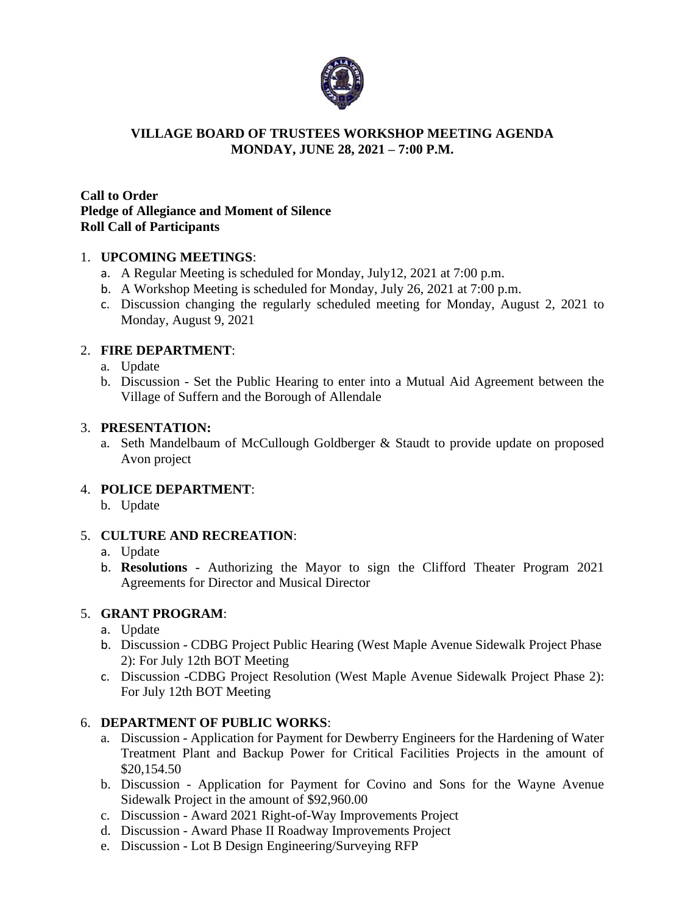

#### **VILLAGE BOARD OF TRUSTEES WORKSHOP MEETING AGENDA MONDAY, JUNE 28, 2021 – 7:00 P.M.**

#### **Call to Order Pledge of Allegiance and Moment of Silence Roll Call of Participants**

#### 1. **UPCOMING MEETINGS**:

- a. A Regular Meeting is scheduled for Monday, July12, 2021 at 7:00 p.m.
- b. A Workshop Meeting is scheduled for Monday, July 26, 2021 at 7:00 p.m.
- c. Discussion changing the regularly scheduled meeting for Monday, August 2, 2021 to Monday, August 9, 2021

### 2. **FIRE DEPARTMENT**:

- a. Update
- b. Discussion Set the Public Hearing to enter into a Mutual Aid Agreement between the Village of Suffern and the Borough of Allendale

#### 3. **PRESENTATION:**

a. Seth Mandelbaum of McCullough Goldberger & Staudt to provide update on proposed Avon project

#### 4. **POLICE DEPARTMENT**:

b. Update

#### 5. **CULTURE AND RECREATION**:

#### a. Update

b. **Resolutions** - Authorizing the Mayor to sign the Clifford Theater Program 2021 Agreements for Director and Musical Director

#### 5. **GRANT PROGRAM**:

- a. Update
- b. Discussion CDBG Project Public Hearing (West Maple Avenue Sidewalk Project Phase 2): For July 12th BOT Meeting
- c. Discussion -CDBG Project Resolution (West Maple Avenue Sidewalk Project Phase 2): For July 12th BOT Meeting

#### 6. **DEPARTMENT OF PUBLIC WORKS**:

- a. Discussion Application for Payment for Dewberry Engineers for the Hardening of Water Treatment Plant and Backup Power for Critical Facilities Projects in the amount of \$20,154.50
- b. Discussion Application for Payment for Covino and Sons for the Wayne Avenue Sidewalk Project in the amount of \$92,960.00
- c. Discussion Award 2021 Right-of-Way Improvements Project
- d. Discussion Award Phase II Roadway Improvements Project
- e. Discussion Lot B Design Engineering/Surveying RFP